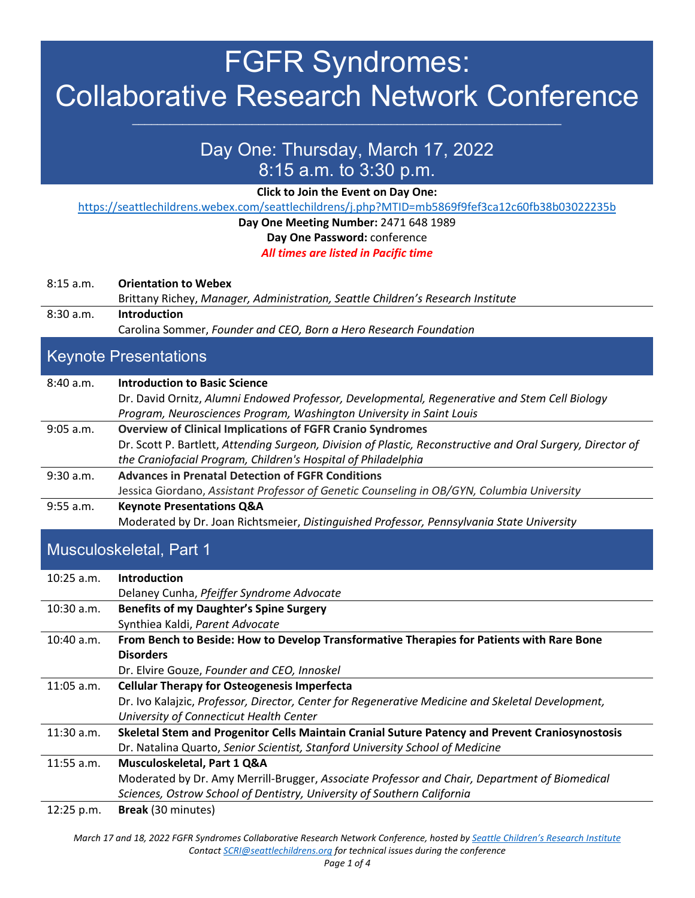# FGFR Syndromes: Collaborative Research Network Conference

### Day One: Thursday, March 17, 2022 8:15 a.m. to 3:30 p.m.

**Click to Join the Event on Day One:** 

<https://seattlechildrens.webex.com/seattlechildrens/j.php?MTID=mb5869f9fef3ca12c60fb38b03022235b>

#### **Day One Meeting Number:** 2471 648 1989 **Day One Password:** conference

*All times are listed in Pacific time*

| 8:15 a.m.                    | <b>Orientation to Webex</b><br>Brittany Richey, Manager, Administration, Seattle Children's Research Institute                                                                                                                                    |  |
|------------------------------|---------------------------------------------------------------------------------------------------------------------------------------------------------------------------------------------------------------------------------------------------|--|
| 8:30 a.m.                    | <b>Introduction</b><br>Carolina Sommer, Founder and CEO, Born a Hero Research Foundation                                                                                                                                                          |  |
| <b>Keynote Presentations</b> |                                                                                                                                                                                                                                                   |  |
| 8:40 a.m.                    | <b>Introduction to Basic Science</b><br>Dr. David Ornitz, Alumni Endowed Professor, Developmental, Regenerative and Stem Cell Biology<br>Program, Neurosciences Program, Washington University in Saint Louis                                     |  |
| $9:05$ a.m.                  | <b>Overview of Clinical Implications of FGFR Cranio Syndromes</b><br>Dr. Scott P. Bartlett, Attending Surgeon, Division of Plastic, Reconstructive and Oral Surgery, Director of<br>the Craniofacial Program, Children's Hospital of Philadelphia |  |
| 9:30 a.m.                    | <b>Advances in Prenatal Detection of FGFR Conditions</b><br>Jessica Giordano, Assistant Professor of Genetic Counseling in OB/GYN, Columbia University                                                                                            |  |
| 9:55 a.m.                    | <b>Keynote Presentations Q&amp;A</b><br>Moderated by Dr. Joan Richtsmeier, Distinguished Professor, Pennsylvania State University                                                                                                                 |  |
| Musculoskeletal, Part 1      |                                                                                                                                                                                                                                                   |  |
| $10:25$ a.m.                 | <b>Introduction</b><br>Delaney Cunha, Pfeiffer Syndrome Advocate                                                                                                                                                                                  |  |
| 10:30 a.m.                   | <b>Benefits of my Daughter's Spine Surgery</b><br>Synthiea Kaldi, Parent Advocate                                                                                                                                                                 |  |
| $10:40$ a.m.                 | From Bench to Beside: How to Develop Transformative Therapies for Patients with Rare Bone<br><b>Disorders</b><br>Dr. Elvire Gouze, Founder and CEO, Innoskel                                                                                      |  |

Dr. Ivo Kalajzic, *Professor, Director, Center for Regenerative Medicine and Skeletal Development,* 

Moderated by Dr. Amy Merrill-Brugger, *Associate Professor and Chair, Department of Biomedical* 

11:30 a.m. **Skeletal Stem and Progenitor Cells Maintain Cranial Suture Patency and Prevent Craniosynostosis**

Dr. Natalina Quarto, *Senior Scientist, Stanford University School of Medicine*

*Sciences, Ostrow School of Dentistry, University of Southern California*

11:05 a.m. **Cellular Therapy for Osteogenesis Imperfecta**

11:55 a.m. **Musculoskeletal, Part 1 Q&A**

12:25 p.m. **Break** (30 minutes)

*University of Connecticut Health Center*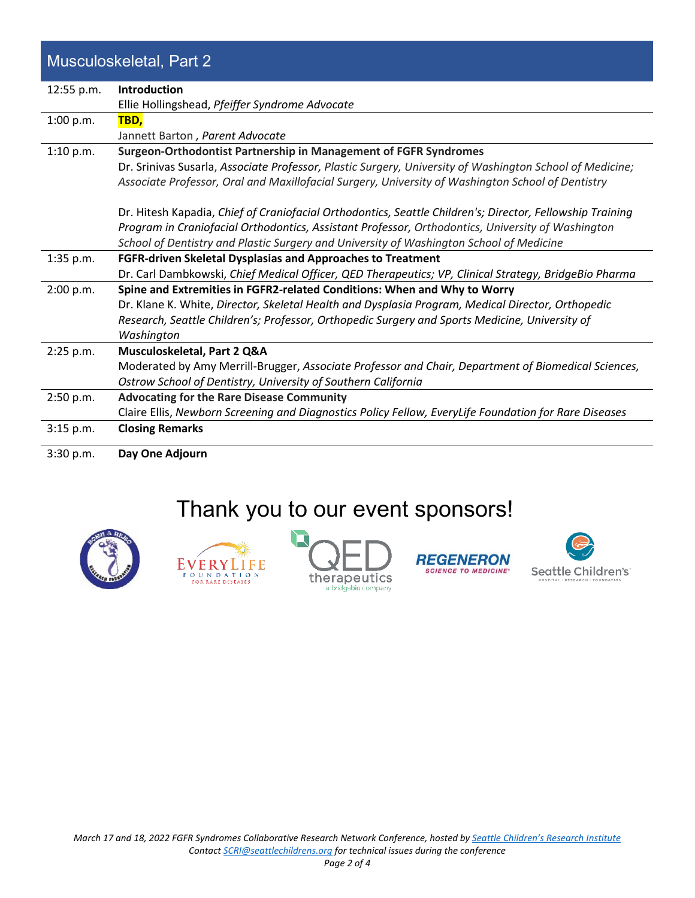### Musculoskeletal, Part 2

| 12:55 p.m.  | Introduction                                                                                              |
|-------------|-----------------------------------------------------------------------------------------------------------|
|             | Ellie Hollingshead, Pfeiffer Syndrome Advocate                                                            |
| 1:00 p.m.   | TBD,                                                                                                      |
|             | Jannett Barton, Parent Advocate                                                                           |
| 1:10 p.m.   | Surgeon-Orthodontist Partnership in Management of FGFR Syndromes                                          |
|             | Dr. Srinivas Susarla, Associate Professor, Plastic Surgery, University of Washington School of Medicine;  |
|             | Associate Professor, Oral and Maxillofacial Surgery, University of Washington School of Dentistry         |
|             | Dr. Hitesh Kapadia, Chief of Craniofacial Orthodontics, Seattle Children's; Director, Fellowship Training |
|             | Program in Craniofacial Orthodontics, Assistant Professor, Orthodontics, University of Washington         |
|             | School of Dentistry and Plastic Surgery and University of Washington School of Medicine                   |
| 1:35 p.m.   | FGFR-driven Skeletal Dysplasias and Approaches to Treatment                                               |
|             | Dr. Carl Dambkowski, Chief Medical Officer, QED Therapeutics; VP, Clinical Strategy, BridgeBio Pharma     |
| 2:00 p.m.   | Spine and Extremities in FGFR2-related Conditions: When and Why to Worry                                  |
|             | Dr. Klane K. White, Director, Skeletal Health and Dysplasia Program, Medical Director, Orthopedic         |
|             | Research, Seattle Children's; Professor, Orthopedic Surgery and Sports Medicine, University of            |
|             | Washington                                                                                                |
| $2:25$ p.m. | Musculoskeletal, Part 2 Q&A                                                                               |
|             | Moderated by Amy Merrill-Brugger, Associate Professor and Chair, Department of Biomedical Sciences,       |
|             | Ostrow School of Dentistry, University of Southern California                                             |
| 2:50 p.m.   | <b>Advocating for the Rare Disease Community</b>                                                          |
|             | Claire Ellis, Newborn Screening and Diagnostics Policy Fellow, EveryLife Foundation for Rare Diseases     |
| 3:15 p.m.   | <b>Closing Remarks</b>                                                                                    |
|             |                                                                                                           |

3:30 p.m. **Day One Adjourn**

## Thank you to our event sponsors!









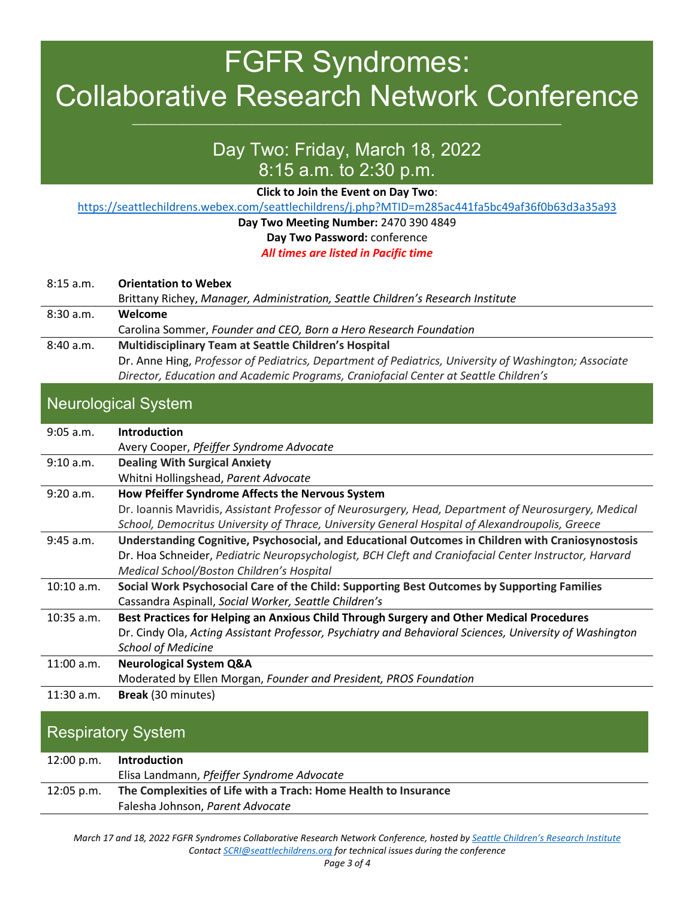# FGFR Syndromes: Collaborative Research Network Conference

## Day Two: Friday, March 18, 2022 8:15 a.m. to 2:30 p.m.

**Click to Join the Event on Day Two**:

<https://seattlechildrens.webex.com/seattlechildrens/j.php?MTID=m285ac441fa5bc49af36f0b63d3a35a93>

#### **Day Two Meeting Number:** 2470 390 4849 **Day Two Password:** conference *All times are listed in Pacific time*

| $8:15$ a.m. | <b>Orientation to Webex</b>                                                                           |
|-------------|-------------------------------------------------------------------------------------------------------|
|             | Brittany Richey, Manager, Administration, Seattle Children's Research Institute                       |
| 8:30a.m.    | Welcome                                                                                               |
|             | Carolina Sommer, Founder and CEO, Born a Hero Research Foundation                                     |
| 8:40 a.m.   | <b>Multidisciplinary Team at Seattle Children's Hospital</b>                                          |
|             | Dr. Anne Hing, Professor of Pediatrics, Department of Pediatrics, University of Washington; Associate |
|             | Director, Education and Academic Programs, Craniofacial Center at Seattle Children's                  |

#### Neurological System

| $9:05$ a.m.  | <b>Introduction</b>                                                                                     |
|--------------|---------------------------------------------------------------------------------------------------------|
|              | Avery Cooper, Pfeiffer Syndrome Advocate                                                                |
| 9:10 a.m.    | <b>Dealing With Surgical Anxiety</b>                                                                    |
|              | Whitni Hollingshead, Parent Advocate                                                                    |
| 9:20 a.m.    | How Pfeiffer Syndrome Affects the Nervous System                                                        |
|              | Dr. Ioannis Mavridis, Assistant Professor of Neurosurgery, Head, Department of Neurosurgery, Medical    |
|              | School, Democritus University of Thrace, University General Hospital of Alexandroupolis, Greece         |
| 9:45 a.m.    | Understanding Cognitive, Psychosocial, and Educational Outcomes in Children with Craniosynostosis       |
|              | Dr. Hoa Schneider, Pediatric Neuropsychologist, BCH Cleft and Craniofacial Center Instructor, Harvard   |
|              | Medical School/Boston Children's Hospital                                                               |
| 10:10 a.m.   | Social Work Psychosocial Care of the Child: Supporting Best Outcomes by Supporting Families             |
|              | Cassandra Aspinall, Social Worker, Seattle Children's                                                   |
| $10:35$ a.m. | Best Practices for Helping an Anxious Child Through Surgery and Other Medical Procedures                |
|              | Dr. Cindy Ola, Acting Assistant Professor, Psychiatry and Behavioral Sciences, University of Washington |
|              | <b>School of Medicine</b>                                                                               |
| $11:00$ a.m. | <b>Neurological System Q&amp;A</b>                                                                      |
|              | Moderated by Ellen Morgan, Founder and President, PROS Foundation                                       |
| $11:30$ a.m. | Break (30 minutes)                                                                                      |
|              |                                                                                                         |

#### Respiratory System

| 12:00 p.m.   | Introduction                                                    |
|--------------|-----------------------------------------------------------------|
|              | Elisa Landmann, Pfeiffer Syndrome Advocate                      |
| $12:05$ p.m. | The Complexities of Life with a Trach: Home Health to Insurance |
|              | Falesha Johnson, Parent Advocate                                |

*March 17 and 18, 2022 FGFR Syndromes Collaborative Research Network Conference, hosted b[y Seattle Children's Research Institute](https://www.seattlechildrens.org/research/) Contact [SCRI@seattlechildrens.org](mailto:SCRI@seattlechildrens.org) for technical issues during the conference*